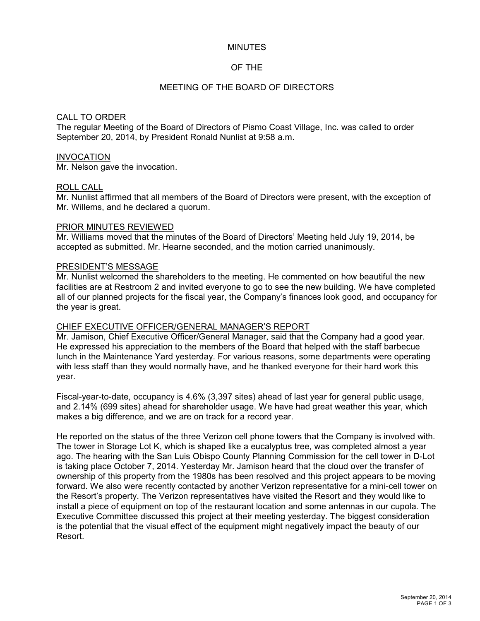### MINUTES

## OF THE

## MEETING OF THE BOARD OF DIRECTORS

### CALL TO ORDER

The regular Meeting of the Board of Directors of Pismo Coast Village, Inc. was called to order September 20, 2014, by President Ronald Nunlist at 9:58 a.m.

### INVOCATION

Mr. Nelson gave the invocation.

### ROLL CALL

Mr. Nunlist affirmed that all members of the Board of Directors were present, with the exception of Mr. Willems, and he declared a quorum.

### PRIOR MINUTES REVIEWED

Mr. Williams moved that the minutes of the Board of Directors' Meeting held July 19, 2014, be accepted as submitted. Mr. Hearne seconded, and the motion carried unanimously.

### PRESIDENT'S MESSAGE

Mr. Nunlist welcomed the shareholders to the meeting. He commented on how beautiful the new facilities are at Restroom 2 and invited everyone to go to see the new building. We have completed all of our planned projects for the fiscal year, the Company's finances look good, and occupancy for the year is great.

### CHIEF EXECUTIVE OFFICER/GENERAL MANAGER'S REPORT

Mr. Jamison, Chief Executive Officer/General Manager, said that the Company had a good year. He expressed his appreciation to the members of the Board that helped with the staff barbecue lunch in the Maintenance Yard yesterday. For various reasons, some departments were operating with less staff than they would normally have, and he thanked everyone for their hard work this year.

Fiscal-year-to-date, occupancy is 4.6% (3,397 sites) ahead of last year for general public usage, and 2.14% (699 sites) ahead for shareholder usage. We have had great weather this year, which makes a big difference, and we are on track for a record year.

He reported on the status of the three Verizon cell phone towers that the Company is involved with. The tower in Storage Lot K, which is shaped like a eucalyptus tree, was completed almost a year ago. The hearing with the San Luis Obispo County Planning Commission for the cell tower in D-Lot is taking place October 7, 2014. Yesterday Mr. Jamison heard that the cloud over the transfer of ownership of this property from the 1980s has been resolved and this project appears to be moving forward. We also were recently contacted by another Verizon representative for a mini-cell tower on the Resort's property. The Verizon representatives have visited the Resort and they would like to install a piece of equipment on top of the restaurant location and some antennas in our cupola. The Executive Committee discussed this project at their meeting yesterday. The biggest consideration is the potential that the visual effect of the equipment might negatively impact the beauty of our Resort.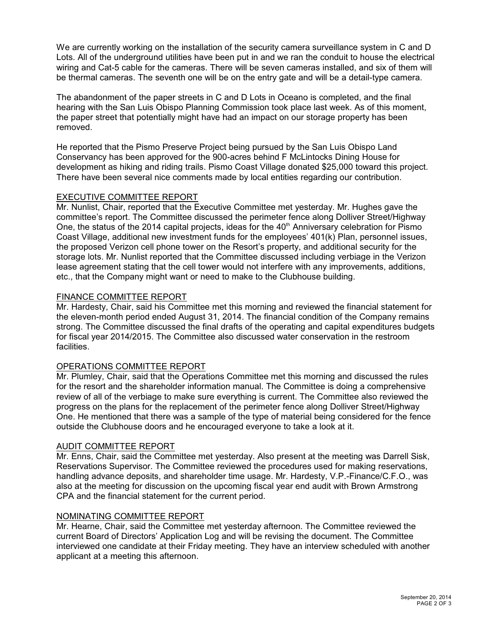We are currently working on the installation of the security camera surveillance system in C and D Lots. All of the underground utilities have been put in and we ran the conduit to house the electrical wiring and Cat-5 cable for the cameras. There will be seven cameras installed, and six of them will be thermal cameras. The seventh one will be on the entry gate and will be a detail-type camera.

The abandonment of the paper streets in C and D Lots in Oceano is completed, and the final hearing with the San Luis Obispo Planning Commission took place last week. As of this moment, the paper street that potentially might have had an impact on our storage property has been removed.

He reported that the Pismo Preserve Project being pursued by the San Luis Obispo Land Conservancy has been approved for the 900-acres behind F McLintocks Dining House for development as hiking and riding trails. Pismo Coast Village donated \$25,000 toward this project. There have been several nice comments made by local entities regarding our contribution.

## EXECUTIVE COMMITTEE REPORT

Mr. Nunlist, Chair, reported that the Executive Committee met yesterday. Mr. Hughes gave the committee's report. The Committee discussed the perimeter fence along Dolliver Street/Highway One, the status of the 2014 capital projects, ideas for the 40<sup>th</sup> Anniversary celebration for Pismo Coast Village, additional new investment funds for the employees' 401(k) Plan, personnel issues, the proposed Verizon cell phone tower on the Resort's property, and additional security for the storage lots. Mr. Nunlist reported that the Committee discussed including verbiage in the Verizon lease agreement stating that the cell tower would not interfere with any improvements, additions, etc., that the Company might want or need to make to the Clubhouse building.

## FINANCE COMMITTEE REPORT

Mr. Hardesty, Chair, said his Committee met this morning and reviewed the financial statement for the eleven-month period ended August 31, 2014. The financial condition of the Company remains strong. The Committee discussed the final drafts of the operating and capital expenditures budgets for fiscal year 2014/2015. The Committee also discussed water conservation in the restroom facilities.

### OPERATIONS COMMITTEE REPORT

Mr. Plumley, Chair, said that the Operations Committee met this morning and discussed the rules for the resort and the shareholder information manual. The Committee is doing a comprehensive review of all of the verbiage to make sure everything is current. The Committee also reviewed the progress on the plans for the replacement of the perimeter fence along Dolliver Street/Highway One. He mentioned that there was a sample of the type of material being considered for the fence outside the Clubhouse doors and he encouraged everyone to take a look at it.

### AUDIT COMMITTEE REPORT

Mr. Enns, Chair, said the Committee met yesterday. Also present at the meeting was Darrell Sisk, Reservations Supervisor. The Committee reviewed the procedures used for making reservations, handling advance deposits, and shareholder time usage. Mr. Hardesty, V.P.-Finance/C.F.O., was also at the meeting for discussion on the upcoming fiscal year end audit with Brown Armstrong CPA and the financial statement for the current period.

### NOMINATING COMMITTEE REPORT

Mr. Hearne, Chair, said the Committee met yesterday afternoon. The Committee reviewed the current Board of Directors' Application Log and will be revising the document. The Committee interviewed one candidate at their Friday meeting. They have an interview scheduled with another applicant at a meeting this afternoon.